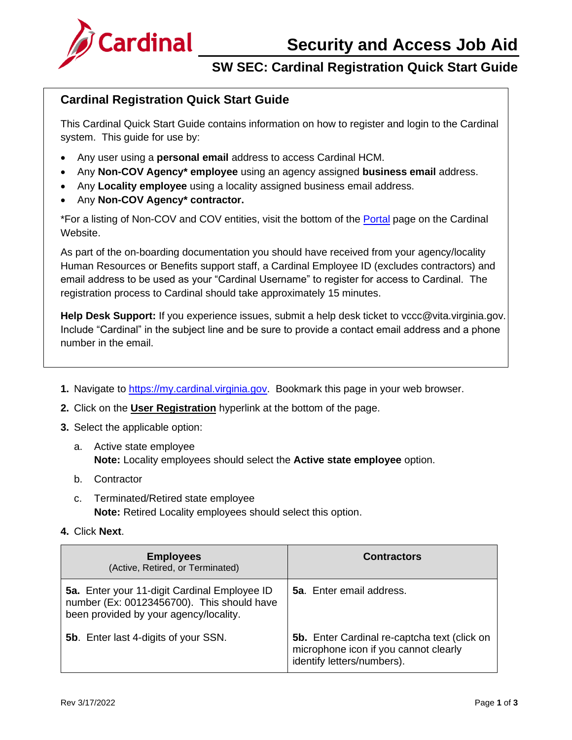

# **SW SEC: Cardinal Registration Quick Start Guide**

### **Cardinal Registration Quick Start Guide**

This Cardinal Quick Start Guide contains information on how to register and login to the Cardinal system. This guide for use by:

- Any user using a **personal email** address to access Cardinal HCM.
- Any **Non-COV Agency\* employee** using an agency assigned **business email** address.
- Any **Locality employee** using a locality assigned business email address.
- Any **Non-COV Agency\* contractor.**

\*For a listing of Non-COV and COV entities, visit the bottom of the [Portal](https://www.cardinalproject.virginia.gov/portal) page on the Cardinal Website.

As part of the on-boarding documentation you should have received from your agency/locality Human Resources or Benefits support staff, a Cardinal Employee ID (excludes contractors) and email address to be used as your "Cardinal Username" to register for access to Cardinal. The registration process to Cardinal should take approximately 15 minutes.

**Help Desk Support:** If you experience issues, submit a help desk ticket to vccc@vita.virginia.gov. Include "Cardinal" in the subject line and be sure to provide a contact email address and a phone number in the email.

- **1.** Navigate to [https://my.cardinal.virginia.gov.](https://my.cardinal.virginia.gov/) Bookmark this page in your web browser.
- **2.** Click on the **User Registration** hyperlink at the bottom of the page.
- **3.** Select the applicable option:
	- a. Active state employee **Note:** Locality employees should select the **Active state employee** option.
	- b. Contractor
	- c. Terminated/Retired state employee **Note:** Retired Locality employees should select this option.
- **4.** Click **Next**.

| <b>Employees</b><br>(Active, Retired, or Terminated)                                                                                 | <b>Contractors</b>                                                                                                         |
|--------------------------------------------------------------------------------------------------------------------------------------|----------------------------------------------------------------------------------------------------------------------------|
| 5a. Enter your 11-digit Cardinal Employee ID<br>number (Ex: 00123456700). This should have<br>been provided by your agency/locality. | <b>5a.</b> Enter email address.                                                                                            |
| 5b. Enter last 4-digits of your SSN.                                                                                                 | <b>5b.</b> Enter Cardinal re-captcha text (click on<br>microphone icon if you cannot clearly<br>identify letters/numbers). |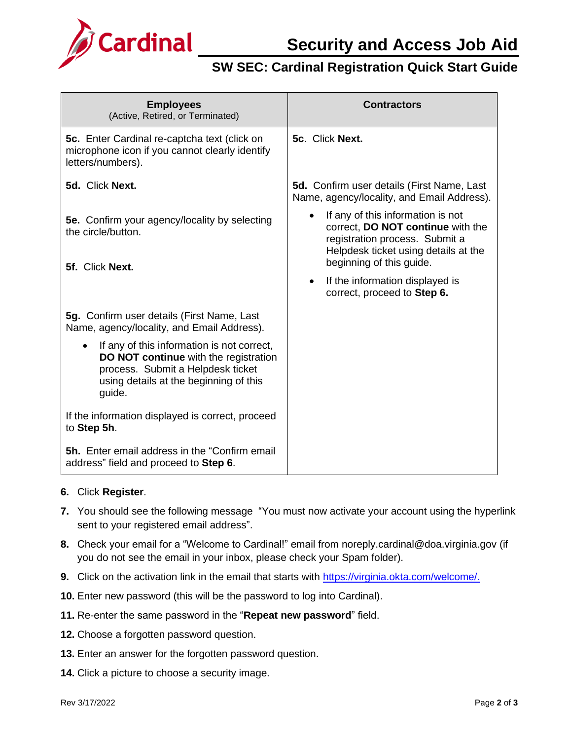

## **SW SEC: Cardinal Registration Quick Start Guide**

| <b>Employees</b><br>(Active, Retired, or Terminated)                                                                                                                                      | <b>Contractors</b>                                                                                                                               |
|-------------------------------------------------------------------------------------------------------------------------------------------------------------------------------------------|--------------------------------------------------------------------------------------------------------------------------------------------------|
| <b>5c.</b> Enter Cardinal re-captcha text (click on<br>microphone icon if you cannot clearly identify<br>letters/numbers).                                                                | 5c. Click Next.                                                                                                                                  |
| 5d. Click Next.                                                                                                                                                                           | <b>5d.</b> Confirm user details (First Name, Last<br>Name, agency/locality, and Email Address).                                                  |
| <b>5e.</b> Confirm your agency/locality by selecting<br>the circle/button.                                                                                                                | If any of this information is not<br>correct, DO NOT continue with the<br>registration process. Submit a<br>Helpdesk ticket using details at the |
| 5f. Click Next.                                                                                                                                                                           | beginning of this guide.                                                                                                                         |
|                                                                                                                                                                                           | If the information displayed is<br>$\bullet$<br>correct, proceed to Step 6.                                                                      |
| 5g. Confirm user details (First Name, Last<br>Name, agency/locality, and Email Address).                                                                                                  |                                                                                                                                                  |
| If any of this information is not correct,<br>$\bullet$<br>DO NOT continue with the registration<br>process. Submit a Helpdesk ticket<br>using details at the beginning of this<br>guide. |                                                                                                                                                  |
| If the information displayed is correct, proceed<br>to Step 5h.                                                                                                                           |                                                                                                                                                  |
| <b>5h.</b> Enter email address in the "Confirm email<br>address" field and proceed to Step 6.                                                                                             |                                                                                                                                                  |

### **6.** Click **Register**.

- **7.** You should see the following message "You must now activate your account using the hyperlink sent to your registered email address".
- **8.** Check your email for a "Welcome to Cardinal!" email from noreply.cardinal@doa.virginia.gov (if you do not see the email in your inbox, please check your Spam folder).
- **9.** Click on the activation link in the email that starts with [https://virginia.okta.com/welcome/.](https://virginia.okta.com/welcome/)
- **10.** Enter new password (this will be the password to log into Cardinal).
- **11.** Re-enter the same password in the "**Repeat new password**" field.
- **12.** Choose a forgotten password question.
- **13.** Enter an answer for the forgotten password question.
- **14.** Click a picture to choose a security image.